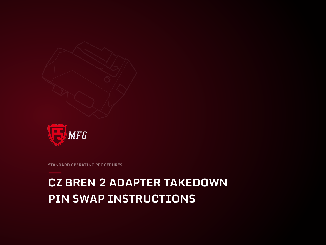# **CZ BREN 2 ADAPTER TAKEDOWN PIN SWAP INSTRUCTIONS**

**STANDARD OPERATING PROCEDURES**

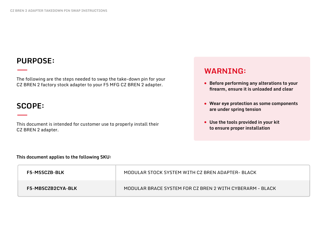## **PURPOSE:**

The following are the steps needed to swap the take-down pin for your CZ BREN 2 factory stock adapter to your F5 MFG CZ BREN 2 adapter.

#### **SCOPE:**

This document is intended for customer use to properly install their CZ BREN 2 adapter.

#### **WARNING:**

- **Before performing any alterations to your firearm, ensure it is unloaded and clear**
- **Wear eye protection as some components are under spring tension**
- **Use the tools provided in your kit to ensure proper installation**

**This document applies to the following SKU:**

| <b>F5-MSSCZB-BLK</b>     | MODULAR STOCK SYSTEM WITH CZ BREN ADAPTER- BLACK         |
|--------------------------|----------------------------------------------------------|
| <b>F5-MBSCZB2CYA-BLK</b> | MODULAR BRACE SYSTEM FOR CZ BREN 2 WITH CYBERARM - BLACK |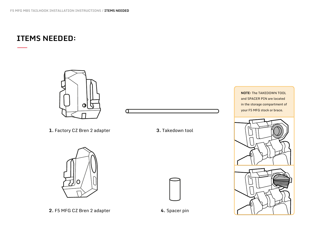#### **ITEMS NEEDED:**



O

- **1.** Factory CZ Bren 2 adapter **3.** Takedown tool
	-







**NOTE:** The TAKEDOWN TOOL and SPACER PIN are located in the storage compartment of your F5 MFG stock or brace.

**2.** F5 MFG CZ Bren 2 adapter **4.** Spacer pin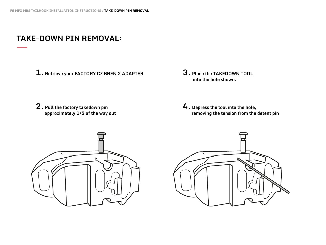## **TAKE-DOWN PIN REMOVAL:**

- **1. Retrieve your FACTORY CZ BREN 2 ADAPTER 3. Place the TAKEDOWN TOOL**
- **into the hole shown.**

**2. Pull the factory takedown pin approximately 1⁄2 of the way out**

**4. Depress the tool into the hole, removing the tension from the detent pin**



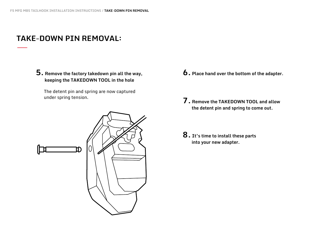## **TAKE-DOWN PIN REMOVAL:**

**5. Remove the factory takedown pin all the way, keeping the TAKEDOWN TOOL in the hole**

The detent pin and spring are now captured under spring tension.



- **6. Place hand over the bottom of the adapter.**
- **7. Remove the TAKEDOWN TOOL and allow the detent pin and spring to come out.**
- **8. It's time to install these parts into your new adapter.**